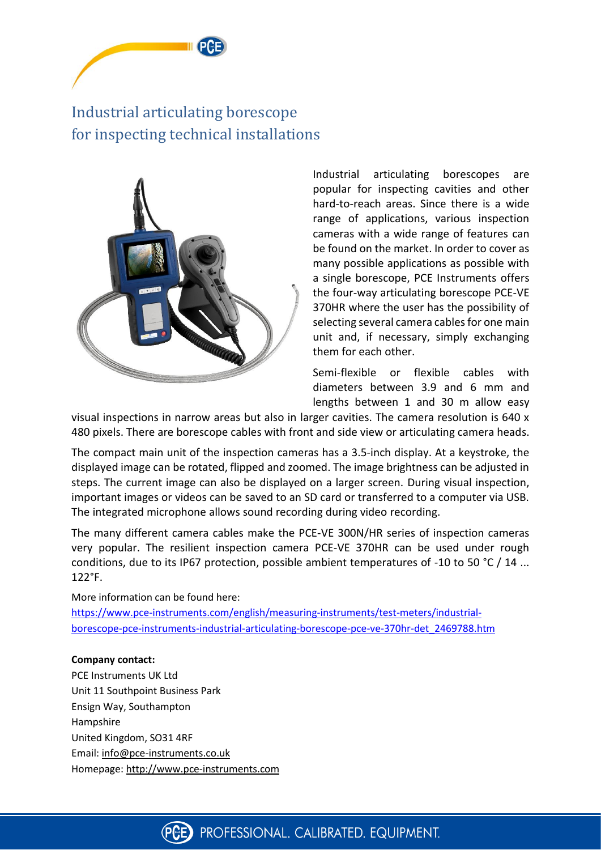

## Industrial articulating borescope for inspecting technical installations



Industrial articulating borescopes are popular for inspecting cavities and other hard-to-reach areas. Since there is a wide range of applications, various inspection cameras with a wide range of features can be found on the market. In order to cover as many possible applications as possible with a single borescope, PCE Instruments offers the four-way articulating borescope PCE-VE 370HR where the user has the possibility of selecting several camera cables for one main unit and, if necessary, simply exchanging them for each other.

Semi-flexible or flexible cables with diameters between 3.9 and 6 mm and lengths between 1 and 30 m allow easy

visual inspections in narrow areas but also in larger cavities. The camera resolution is 640 x 480 pixels. There are borescope cables with front and side view or articulating camera heads.

The compact main unit of the inspection cameras has a 3.5-inch display. At a keystroke, the displayed image can be rotated, flipped and zoomed. The image brightness can be adjusted in steps. The current image can also be displayed on a larger screen. During visual inspection, important images or videos can be saved to an SD card or transferred to a computer via USB. The integrated microphone allows sound recording during video recording.

The many different camera cables make the PCE-VE 300N/HR series of inspection cameras very popular. The resilient inspection camera PCE-VE 370HR can be used under rough conditions, due to its IP67 protection, possible ambient temperatures of -10 to 50 °C / 14 ... 122°F.

More information can be found here: [https://www.pce-instruments.com/english/measuring-instruments/test-meters/industrial](https://www.pce-instruments.com/english/measuring-instruments/test-meters/industrial-borescope-pce-instruments-industrial-articulating-borescope-pce-ve-370hr-det_2469788.htm)[borescope-pce-instruments-industrial-articulating-borescope-pce-ve-370hr-det\\_2469788.htm](https://www.pce-instruments.com/english/measuring-instruments/test-meters/industrial-borescope-pce-instruments-industrial-articulating-borescope-pce-ve-370hr-det_2469788.htm)

## **Company contact:**

PCE Instruments UK Ltd Unit 11 Southpoint Business Park Ensign Way, Southampton Hampshire United Kingdom, SO31 4RF Email: [info@pce-instruments.co.uk](mailto:info@pce-instruments.co.uk) Homepage: [http://www.pce-instruments.com](http://www.pce-instruments.com/)